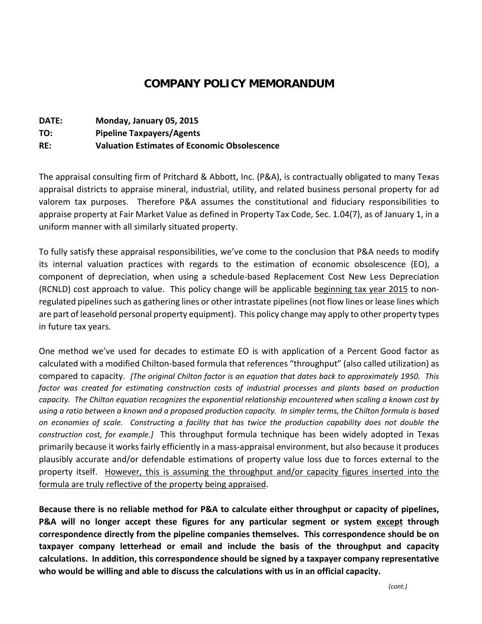## **COMPANY POLICY MEMORANDUM**

| <b>DATE:</b> | Monday, January 05, 2015                            |
|--------------|-----------------------------------------------------|
| TO:          | <b>Pipeline Taxpayers/Agents</b>                    |
| RE:          | <b>Valuation Estimates of Economic Obsolescence</b> |

The appraisal consulting firm of Pritchard & Abbott, Inc. (P&A), is contractually obligated to many Texas appraisal districts to appraise mineral, industrial, utility, and related business personal property for ad valorem tax purposes. Therefore P&A assumes the constitutional and fiduciary responsibilities to appraise property at Fair Market Value as defined in Property Tax Code, Sec. 1.04(7), as of January 1, in a uniform manner with all similarly situated property.

To fully satisfy these appraisal responsibilities, we've come to the conclusion that P&A needs to modify its internal valuation practices with regards to the estimation of economic obsolescence (EO), a component of depreciation, when using a schedule‐based Replacement Cost New Less Depreciation (RCNLD) cost approach to value. This policy change will be applicable beginning tax year 2015 to non‐ regulated pipelines such as gathering lines or other intrastate pipelines (not flow lines or lease lines which are part of leasehold personal property equipment). This policy change may apply to other property types in future tax years.

One method we've used for decades to estimate EO is with application of a Percent Good factor as calculated with a modified Chilton‐based formula that references "throughput" (also called utilization) as compared to capacity. *[The original Chilton factor is an equation that dates back to approximately 1950. This factor was created for estimating construction costs of industrial processes and plants based on production capacity. The Chilton equation recognizes the exponential relationship encountered when scaling a known cost by* using a ratio between a known and a proposed production capacity. In simpler terms, the Chilton formula is based on economies of scale. Constructing a facility that has twice the production capability does not double the *construction cost, for example.]* This throughput formula technique has been widely adopted in Texas primarily because it works fairly efficiently in a mass‐appraisal environment, but also because it produces plausibly accurate and/or defendable estimations of property value loss due to forces external to the property itself. However, this is assuming the throughput and/or capacity figures inserted into the formula are truly reflective of the property being appraised.

**Because there is no reliable method for P&A to calculate either throughput or capacity of pipelines, P&A will no longer accept these figures for any particular segment or system except through correspondence directly from the pipeline companies themselves. This correspondence should be on taxpayer company letterhead or email and include the basis of the throughput and capacity calculations. In addition, this correspondence should be signed by a taxpayer company representative who would be willing and able to discuss the calculations with us in an official capacity.**